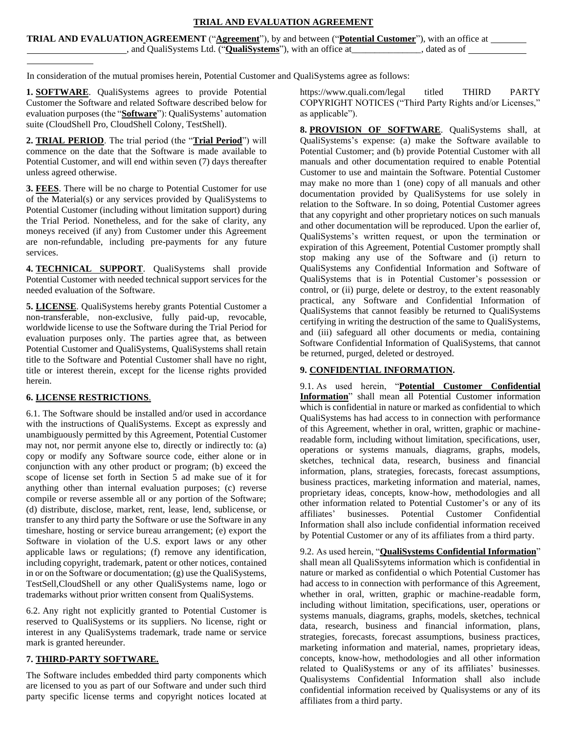### **TRIAL AND EVALUATION AGREEMENT**

| <b>TRIAL AND EVALUATION AGREEMENT</b> ("Agreement"), by and between ("Potential Customer"), with an office at |                                                                      |             |
|---------------------------------------------------------------------------------------------------------------|----------------------------------------------------------------------|-------------|
|                                                                                                               | , and QualiSystems Ltd. (" <b>QualiSystems</b> "), with an office at | dated as of |

In consideration of the mutual promises herein, Potential Customer and QualiSystems agree as follows:

**1. SOFTWARE**. QualiSystems agrees to provide Potential Customer the Software and related Software described below for evaluation purposes (the "**Software**"): QualiSystems' automation suite (CloudShell Pro, CloudShell Colony, TestShell).

**2. TRIAL PERIOD**. The trial period (the "**Trial Period**") will commence on the date that the Software is made available to Potential Customer, and will end within seven (7) days thereafter unless agreed otherwise.

**3. FEES**. There will be no charge to Potential Customer for use of the Material(s) or any services provided by QualiSystems to Potential Customer (including without limitation support) during the Trial Period. Nonetheless, and for the sake of clarity, any moneys received (if any) from Customer under this Agreement are non-refundable, including pre-payments for any future services.

**4. TECHNICAL SUPPORT**. QualiSystems shall provide Potential Customer with needed technical support services for the needed evaluation of the Software.

**5. LICENSE**. QualiSystems hereby grants Potential Customer a non-transferable, non-exclusive, fully paid-up, revocable, worldwide license to use the Software during the Trial Period for evaluation purposes only. The parties agree that, as between Potential Customer and QualiSystems, QualiSystems shall retain title to the Software and Potential Customer shall have no right, title or interest therein, except for the license rights provided herein.

# **6. LICENSE RESTRICTIONS**.

6.1. The Software should be installed and/or used in accordance with the instructions of QualiSystems. Except as expressly and unambiguously permitted by this Agreement, Potential Customer may not, nor permit anyone else to, directly or indirectly to: (a) copy or modify any Software source code, either alone or in conjunction with any other product or program; (b) exceed the scope of license set forth in Section 5 ad make sue of it for anything other than internal evaluation purposes; (c) reverse compile or reverse assemble all or any portion of the Software; (d) distribute, disclose, market, rent, lease, lend, sublicense, or transfer to any third party the Software or use the Software in any timeshare, hosting or service bureau arrangement; (e) export the Software in violation of the U.S. export laws or any other applicable laws or regulations; (f) remove any identification, including copyright, trademark, patent or other notices, contained in or on the Software or documentation; (g) use the QualiSystems, TestSell,CloudShell or any other QualiSystems name, logo or trademarks without prior written consent from QualiSystems.

6.2. Any right not explicitly granted to Potential Customer is reserved to QualiSystems or its suppliers. No license, right or interest in any QualiSystems trademark, trade name or service mark is granted hereunder.

# **7. THIRD-PARTY SOFTWARE.**

The Software includes embedded third party components which are licensed to you as part of our Software and under such third party specific license terms and copyright notices located at https:[//www.quali.com/legal tit](http://www.quali.com/legal)led THIRD PARTY COPYRIGHT NOTICES ("Third Party Rights and/or Licenses," as applicable").

**8. PROVISION OF SOFTWARE**. QualiSystems shall, at QualiSystems's expense: (a) make the Software available to Potential Customer; and (b) provide Potential Customer with all manuals and other documentation required to enable Potential Customer to use and maintain the Software. Potential Customer may make no more than 1 (one) copy of all manuals and other documentation provided by QualiSystems for use solely in relation to the Software. In so doing, Potential Customer agrees that any copyright and other proprietary notices on such manuals and other documentation will be reproduced. Upon the earlier of, QualiSystems's written request, or upon the termination or expiration of this Agreement, Potential Customer promptly shall stop making any use of the Software and (i) return to QualiSystems any Confidential Information and Software of QualiSystems that is in Potential Customer's possession or control, or (ii) purge, delete or destroy, to the extent reasonably practical, any Software and Confidential Information of QualiSystems that cannot feasibly be returned to QualiSystems certifying in writing the destruction of the same to QualiSystems, and (iii) safeguard all other documents or media, containing Software Confidential Information of QualiSystems, that cannot be returned, purged, deleted or destroyed.

### **9. CONFIDENTIAL INFORMATION.**

9.1. As used herein, "**Potential Customer Confidential Information**" shall mean all Potential Customer information which is confidential in nature or marked as confidential to which QualiSystems has had access to in connection with performance of this Agreement, whether in oral, written, graphic or machinereadable form, including without limitation, specifications, user, operations or systems manuals, diagrams, graphs, models, sketches, technical data, research, business and financial information, plans, strategies, forecasts, forecast assumptions, business practices, marketing information and material, names, proprietary ideas, concepts, know-how, methodologies and all other information related to Potential Customer's or any of its affiliates' businesses. Potential Customer Confidential Information shall also include confidential information received by Potential Customer or any of its affiliates from a third party.

9.2. As used herein, "**QualiSystems Confidential Information**" shall mean all QualiSsytems information which is confidential in nature or marked as confidential o which Potential Customer has had access to in connection with performance of this Agreement, whether in oral, written, graphic or machine-readable form, including without limitation, specifications, user, operations or systems manuals, diagrams, graphs, models, sketches, technical data, research, business and financial information, plans, strategies, forecasts, forecast assumptions, business practices, marketing information and material, names, proprietary ideas, concepts, know-how, methodologies and all other information related to QualiSystems or any of its affiliates' businesses. Qualisystems Confidential Information shall also include confidential information received by Qualisystems or any of its affiliates from a third party.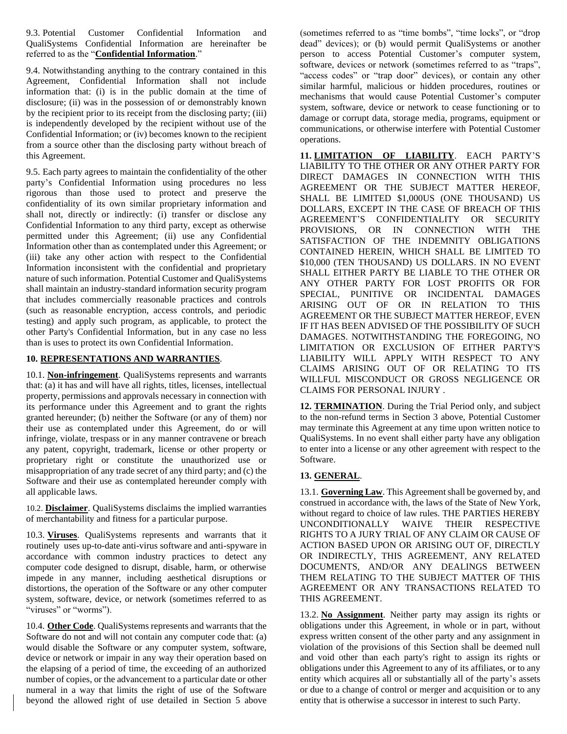9.3. Potential Customer Confidential Information and QualiSystems Confidential Information are hereinafter be referred to as the "**Confidential Information**."

9.4. Notwithstanding anything to the contrary contained in this Agreement, Confidential Information shall not include information that: (i) is in the public domain at the time of disclosure; (ii) was in the possession of or demonstrably known by the recipient prior to its receipt from the disclosing party; (iii) is independently developed by the recipient without use of the Confidential Information; or (iv) becomes known to the recipient from a source other than the disclosing party without breach of this Agreement.

9.5. Each party agrees to maintain the confidentiality of the other party's Confidential Information using procedures no less rigorous than those used to protect and preserve the confidentiality of its own similar proprietary information and shall not, directly or indirectly: (i) transfer or disclose any Confidential Information to any third party, except as otherwise permitted under this Agreement; (ii) use any Confidential Information other than as contemplated under this Agreement; or (iii) take any other action with respect to the Confidential Information inconsistent with the confidential and proprietary nature of such information. Potential Customer and QualiSystems shall maintain an industry-standard information security program that includes commercially reasonable practices and controls (such as reasonable encryption, access controls, and periodic testing) and apply such program, as applicable, to protect the other Party's Confidential Information, but in any case no less than is uses to protect its own Confidential Information.

### **10. REPRESENTATIONS AND WARRANTIES**.

10.1. **Non-infringement**. QualiSystems represents and warrants that: (a) it has and will have all rights, titles, licenses, intellectual property, permissions and approvals necessary in connection with its performance under this Agreement and to grant the rights granted hereunder; (b) neither the Software (or any of them) nor their use as contemplated under this Agreement, do or will infringe, violate, trespass or in any manner contravene or breach any patent, copyright, trademark, license or other property or proprietary right or constitute the unauthorized use or misappropriation of any trade secret of any third party; and (c) the Software and their use as contemplated hereunder comply with all applicable laws.

10.2. **Disclaimer**. QualiSystems disclaims the implied warranties of merchantability and fitness for a particular purpose.

10.3. **Viruses**. QualiSystems represents and warrants that it routinely uses up-to-date anti-virus software and anti-spyware in accordance with common industry practices to detect any computer code designed to disrupt, disable, harm, or otherwise impede in any manner, including aesthetical disruptions or distortions, the operation of the Software or any other computer system, software, device, or network (sometimes referred to as "viruses" or "worms").

10.4. **Other Code**. QualiSystems represents and warrants that the Software do not and will not contain any computer code that: (a) would disable the Software or any computer system, software, device or network or impair in any way their operation based on the elapsing of a period of time, the exceeding of an authorized number of copies, or the advancement to a particular date or other numeral in a way that limits the right of use of the Software beyond the allowed right of use detailed in Section 5 above

(sometimes referred to as "time bombs", "time locks", or "drop dead" devices); or (b) would permit QualiSystems or another person to access Potential Customer's computer system, software, devices or network (sometimes referred to as "traps", "access codes" or "trap door" devices), or contain any other similar harmful, malicious or hidden procedures, routines or mechanisms that would cause Potential Customer's computer system, software, device or network to cease functioning or to damage or corrupt data, storage media, programs, equipment or communications, or otherwise interfere with Potential Customer operations.

**11. LIMITATION OF LIABILITY**. EACH PARTY'S LIABILITY TO THE OTHER OR ANY OTHER PARTY FOR DIRECT DAMAGES IN CONNECTION WITH THIS AGREEMENT OR THE SUBJECT MATTER HEREOF, SHALL BE LIMITED \$1,000US (ONE THOUSAND) US DOLLARS, EXCEPT IN THE CASE OF BREACH OF THIS AGREEMENT'S CONFIDENTIALITY OR SECURITY PROVISIONS, OR IN CONNECTION WITH THE SATISFACTION OF THE INDEMNITY OBLIGATIONS CONTAINED HEREIN, WHICH SHALL BE LIMITED TO \$10,000 (TEN THOUSAND) US DOLLARS. IN NO EVENT SHALL EITHER PARTY BE LIABLE TO THE OTHER OR ANY OTHER PARTY FOR LOST PROFITS OR FOR SPECIAL, PUNITIVE OR INCIDENTAL DAMAGES ARISING OUT OF OR IN RELATION TO THIS AGREEMENT OR THE SUBJECT MATTER HEREOF, EVEN IF IT HAS BEEN ADVISED OF THE POSSIBILITY OF SUCH DAMAGES. NOTWITHSTANDING THE FOREGOING, NO LIMITATION OR EXCLUSION OF EITHER PARTY'S LIABILITY WILL APPLY WITH RESPECT TO ANY CLAIMS ARISING OUT OF OR RELATING TO ITS WILLFUL MISCONDUCT OR GROSS NEGLIGENCE OR CLAIMS FOR PERSONAL INJURY .

**12. TERMINATION**. During the Trial Period only, and subject to the non-refund terms in Section 3 above, Potential Customer may terminate this Agreement at any time upon written notice to QualiSystems. In no event shall either party have any obligation to enter into a license or any other agreement with respect to the Software.

### **13. GENERAL**.

13.1. **Governing Law**. This Agreement shall be governed by, and construed in accordance with, the laws of the State of New York, without regard to choice of law rules. THE PARTIES HEREBY UNCONDITIONALLY WAIVE THEIR RESPECTIVE RIGHTS TO A JURY TRIAL OF ANY CLAIM OR CAUSE OF ACTION BASED UPON OR ARISING OUT OF, DIRECTLY OR INDIRECTLY, THIS AGREEMENT, ANY RELATED DOCUMENTS, AND/OR ANY DEALINGS BETWEEN THEM RELATING TO THE SUBJECT MATTER OF THIS AGREEMENT OR ANY TRANSACTIONS RELATED TO THIS AGREEMENT.

13.2. **No Assignment**. Neither party may assign its rights or obligations under this Agreement, in whole or in part, without express written consent of the other party and any assignment in violation of the provisions of this Section shall be deemed null and void other than each party's right to assign its rights or obligations under this Agreement to any of its affiliates, or to any entity which acquires all or substantially all of the party's assets or due to a change of control or merger and acquisition or to any entity that is otherwise a successor in interest to such Party.